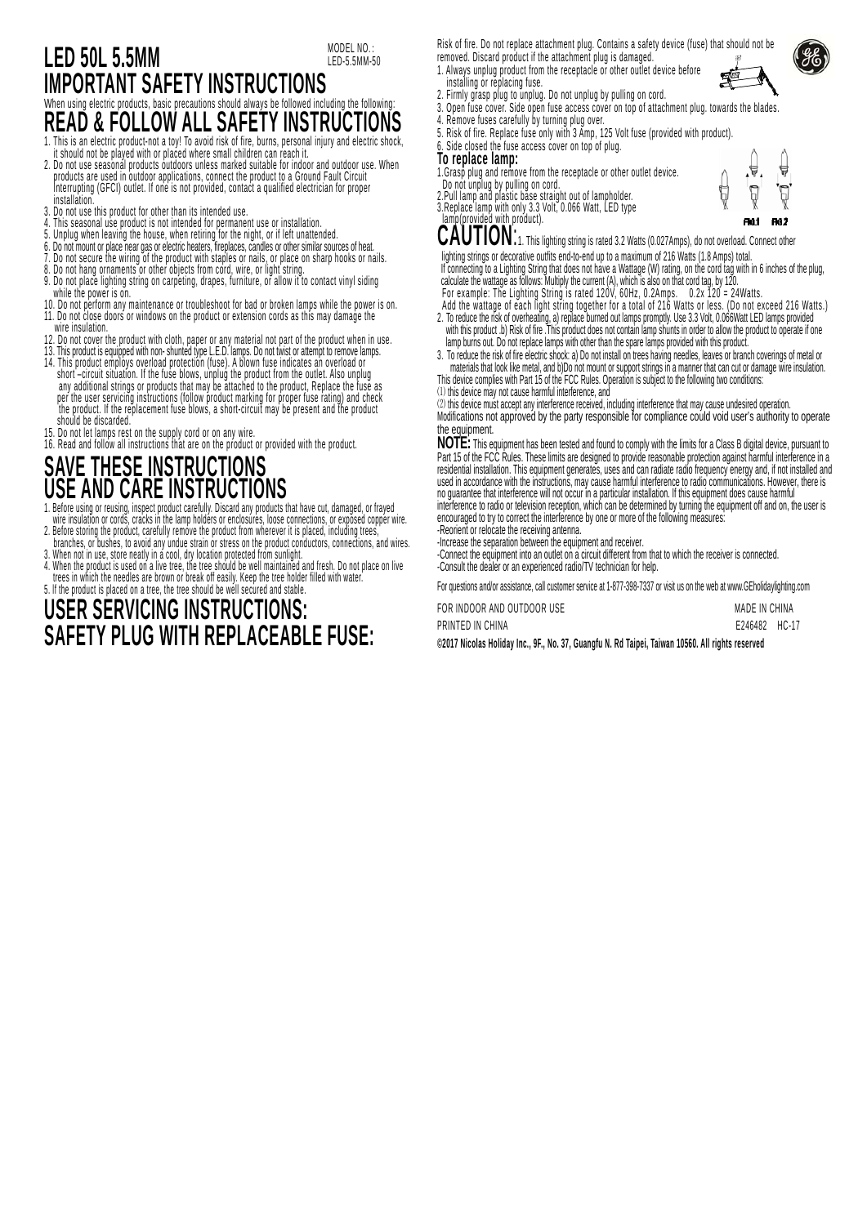### **LED 50L 5.5MM IMPORTANT SAFETY INSTRUCTIONS**  When using electric products, basic precautions should always be followed including the following **READ & FOLLOW ALL SAFETY INSTRUCTIONS**<br>1. This is an electric product-not a toy! To avoid risk of fire, burns, personal injury and electric shock MODEL NO.: LED-5.5MM-50

- 
- 1. It should not be played with or placed where small children can reach it.<br>2. Do not use seasonal products outdoors unless marked suitable for indoor and outdoor use. When<br>products are used in outdoor applications, conne Interrupting (GFCI) outlet. If one is not provided, contact a qualified electrician for proper **installation**
- 3. Do not use this product for other than its intended use.
- 4. This seasonal use product is not intended for permanent use or installation.<br>5. Unplug when leaving the house, when retiring for the night, or if left unattended.
- 
- 6. Do not mount or place near gas or electric neaters, irreplaces, cangles or other similar sources or neat.<br>7. Do not secure the wiring of the product with staples or nails, or place on sharp hooks or nails.<br>8. Do not han
- 
- 9. Do not place lighting string on carpeting, drapes, furniture, or allow it to contact vinyl siding while the power is on.<br>10. Do not perform any maintenance or troubleshoot for bad or broken lamps while the power is on.
- 11. Do not close doors or windows on the product or extension cords as this may damage the
- wire insulation.
- 12. Do not cover the product with cloth, paper or any material not part of the product when in use.
- 13. This product is equipped with non- shunted type L.E.D. lamps. Do not twist or attempt to remove lamps. short -circuit situation. If the fuse blows, unplug the product from the outlet. Also unplug any additional strings or products that may be attached to the product, Replace the tuse as<br>per the user servicing instructions (follow product marking for proper fuse rating) and check<br>the product. If the replacement fuse
- 
- 15. Do not let lamps rest on the supply cord or on any wire. 16. Read and follow all instructions that are on the product or provided with the product.

## <u>SAVE INESE INSTRUCTIUNS.</u> **USE AND CARE INSTRUCTIONS**

- 1. Before using or reusing, inspect product carefully. Discard any products that have cut, damaged, or frayed<br>wire insulation or cords, cracks in the lamp holders or enclosures, loose connections, or exposed copper wire.<br>2
- branches, or bushes, to avoid any undue strain or stress on the product conductors, connections, and wires<br>3. When not in use, store neatly in a cool, dry location protected from sunlight.<br>4. When the product is used on a
- trees in which the needles are brown or break off easily. Keep the tree holder filled with water.<br>5. If the product is placed on a tree, the tree should be well secured and stable.

# **USER SERVICING INSTRUCTIONS: SAFETY PLUG WITH REPLACEABLE FUSE:**

- Risk of fire. Do not replace attachment plug. Contains a safety device (fuse) that should not be removed. Discard product if the attachment plug is damaged.
- 1. Always unplug product from the receptacle or other outlet device before installing or replacing fuse.
- 2. Firmly grasp plug to unplug. Do not unplug by pulling on cord.
- 3. Open fuse cover. Side open fuse access cover on top of attachment plug. towards the blades.<br>4. Remove fuses carefully by turning plug over
- . Remove fuses carefully by turning plug over.
- 5. Risk of fire. Replace fuse only with 3 Amp, 125 Volt fuse (provided with product).
- Side closed the fuse access cover on top of plug.

#### **To replace lamp:**

- 1.Grasp plug and remove from the receptacle or other outlet device. Do not unplug by pulling on cord. 2.Pull lamp and plastic base straight out of lampholder.
- 3.Replace lamp with only 3.3 Volt, 0.066 Watt, LED type



CAUTION: 1. This lighting string is rated 3.2 Watts (0.027Amps), do not overload. Connect other

 lighting strings or decorative outfits end-to-end up to a maximum of 216 Watts (1.8 Amps) total. If connecting to a Lighting String that does not have a Wattage (W) rating, on the cord tag with in 6 inches of the plug calculate the wattage as follows: Multiply the current (A), which is also on that cord tag, by 120.

- For example: The Lighting String is rated 120V, 60Hz, 0.2Amps. 0.2x 120 = 24Watts.
- Add the wattage of each light string together for a total of 216 Watts or less. (Do not exceed 216 Watts.)
- 
- 2. To reduce the risk of overhealing, a) replace burned out lamps promptly. Use 3.3 Volt, 0.066Watt LED lamps provided<br>2. To reduce the risk of overhealing, a) replace burned out lamps promptly. Use 3.3 Volt, 0.066Watt LED
- 

⑴ this device may not cause harmful interference, and Modifications not approved by the party responsible for compliance could void user's authority to operate the equipment.

**NOTE:** This equipment has been tested and found to comply with the limits for a Class B digital device, pursuant to Part 15 of the FCC Rules. These limits are designed to provide reasonable protection against harmful interference in a residential installation. This equipment generates, uses and can radiate radio frequency energy and, if not installed and used in accordance with the instructions, may cause harmful interference to radio communications. However, there is no guarantee that interference will not occur in a particular installation. If this equipment does cause harmful encouraged to try to correct the interference by one or more of the following measures:

-Reorient or relocate the receiving antenna.

-Increase the separation between the equipment and receiver. -Connect the equipment into an outlet on a circuit different from that to which the receiver is connected. -Consult the dealer or an experienced radio/TV technician for help.

For questions and/or assistance, call customer service at 1-877-398-7337 or visit us on the web at www.GEholidaylighting.com

| FOR INDOOR AND OUTDOOR USE | MADE IN CHINA |  |
|----------------------------|---------------|--|
| PRINTED IN CHINA           | E246482 HC-17 |  |

**©2017 Nicolas Holiday Inc., 9F., No. 37, Guangfu N. Rd Taipei, Taiwan 10560. All rights reserved**



',≜

Ç

FM1 BO<sub>2</sub>

Į



Ţ